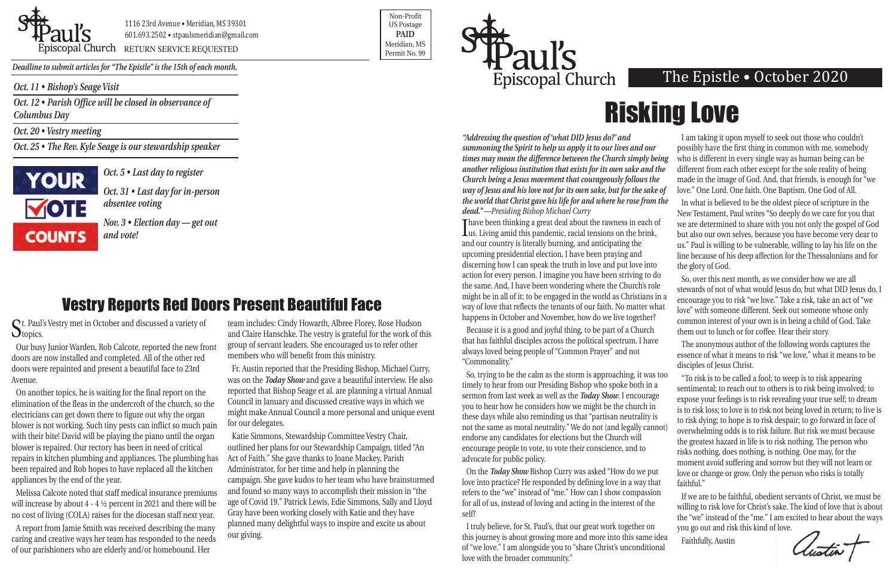*Oct. 11 • Bishop's Seage Visit*

*Oct. 12 • Parish Office will be closed in observance of Columbus Day*

*Oct. 20 • Vestry meeting*

*Oct. 25 • The Rev. Kyle Seage is our stewardship speaker*





Priscopal Church RETURN SERVICE REQUESTED Research of the permit No. 99

Non-Profit US Postage **PAID** Meridian, MS



*Deadline to submit articles for "The Epistle" is the 15th of each month.* 

### The Epistle • October 2020

*"Addressing the question of 'what DID Jesus do?' and summoning the Spirit to help us apply it to our lives and our times may mean the difference between the Church simply being another religious institution that exists for its own sake and the Church being a Jesus movement that courageously follows the way of Jesus and his love not for its own sake, but for the sake of the world that Christ gave his life for and where he rose from the dead." —Presiding Bishop Michael Curry*

I have been thinking a great deal about the rawness in each of us. Living amid this pandemic, racial tensions on the brink, **Thave been thinking a great deal about the rawness in each of** and our country is literally burning, and anticipating the upcoming presidential election, I have been praying and discerning how I can speak the truth in love and put love into action for every person. I imagine you have been striving to do the same. And, I have been wondering where the Church's role might be in all of it; to be engaged in the world as Christians in a way of love that reflects the tenants of our faith. No matter what happens in October and November, how do we live together?

Because it is a good and joyful thing, to be part of a Church that has faithful disciples across the political spectrum. I have always loved being people of "Common Prayer" and not "Commonality."

St. Paul's Vestry met in October and discussed a variety of Otopics.

I am taking it upon myself to seek out those who couldn't possibly have the first thing in common with me, somebody who is different in every single way as human being can be different from each other except for the sole reality of being made in the image of God. And, that friends, is enough for "we love." One Lord. One faith. One Baptism. One God of All.

So, trying to be the calm as the storm is approaching, it was too timely to hear from our Presiding Bishop who spoke both in a sermon from last week as well as the *Today Show*. I encourage you to hear how he considers how we might be the church in these days while also reminding us that "partisan neutrality is not the same as moral neutrality." We do not (and legally cannot) endorse any candidates for elections but the Church will encourage people to vote, to vote their conscience, and to advocate for public policy. On the *Today Show* Bishop Curry was asked "How do we put "To risk is to be called a fool; to weep is to risk appearing sentimental; to reach out to others is to risk being involved; to expose your feelings is to risk revealing your true self; to dream is to risk loss; to love is to risk not being loved in return; to live is to risk dying; to hope is to risk despair; to go forward in face of overwhelming odds is to risk failure. But risk we must because the greatest hazard in life is to risk nothing. The person who risks nothing, does nothing, is nothing. One may, for the moment avoid suffering and sorrow but they will not learn or love or change or grow. Only the person who risks is totally

In what is believed to be the oldest piece of scripture in the New Testament, Paul writes "So deeply do we care for you that we are determined to share with you not only the gospel of God but also our own selves, because you have become very dear to us." Paul is willing to be vulnerable, willing to lay his life on the line because of his deep affection for the Thessalonians and for the glory of God.

love into practice? He responded by defining love in a way that refers to the "we" instead of "me." How can I show compassion for all of us, instead of loving and acting in the interest of the self? I truly believe, for St. Paul's, that our great work together on faithful." If we are to be faithful, obedient servants of Christ, we must be willing to risk love for Christ's sake. The kind of love that is about the "we" instead of the "me." I am excited to hear about the ways you go out and risk this kind of love.

So, over this next month, as we consider how we are all stewards of not of what would Jesus do, but what DID Jesus do, I encourage you to risk "we love." Take a risk, take an act of "we love" with someone different. Seek out someone whose only common interest of your own is in being a child of God. Take them out to lunch or for coffee. Hear their story.

this journey is about growing more and more into this same idea of "we love." I am alongside you to "share Christ's unconditional love with the broader community." Faithfully, Austin

The anonymous author of the following words captures the essence of what it means to risk "we love," what it means to be disciples of Jesus Christ.

*Oct. 5 • Last day to register*

*Oct. 31 • Last day for in-person absentee voting*

*Nov. 3 • Election day — get out and vote!*

Our busy Junior Warden, Rob Calcote, reported the new front doors are now installed and completed. All of the other red doors were repainted and present a beautiful face to 23rd Avenue.

On another topics, he is waiting for the final report on the elimination of the fleas in the undercroft of the church, so the electricians can get down there to figure out why the organ blower is not working. Such tiny pests can inflict so much pain with their bite! David will be playing the piano until the organ blower is repaired. Our rectory has been in need of critical repairs in kitchen plumbing and appliances. The plumbing has been repaired and Rob hopes to have replaced all the kitchen appliances by the end of the year.

Melissa Calcote noted that staff medical insurance premiums will increase by about 4 - 4 ½ percent in 2021 and there will be no cost of living (COLA) raises for the diocesan staff next year.

A report from Jamie Smith was received describing the many caring and creative ways her team has responded to the needs of our parishioners who are elderly and/or homebound. Her

team includes: Cindy Howarth, Albree Florey, Rose Hudson and Claire Hanschke. The vestry is grateful for the work of this group of servant leaders. She encouraged us to refer other members who will benefit from this ministry.

Fr. Austin reported that the Presiding Bishop, Michael Curry, was on the *Today Show* and gave a beautiful interview. He also reported that Bishop Seage et al. are planning a virtual Annual Council in January and discussed creative ways in which we might make Annual Council a more personal and unique event for our delegates.

Katie Simmons, Stewardship Committee Vestry Chair, outlined her plans for our Stewardship Campaign, titled "An Act of Faith." She gave thanks to Joane Mackey, Parish Administrator, for her time and help in planning the campaign. She gave kudos to her team who have brainstormed and found so many ways to accomplish their mission in "the age of Covid 19." Patrick Lewis, Edie Simmons, Sally and Lloyd Gray have been working closely with Katie and they have planned many delightful ways to inspire and excite us about our giving.

## Vestry Reports Red Doors Present Beautiful Face

# Risking Love